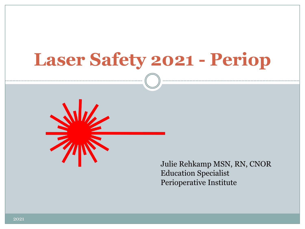# **Laser Safety 2021 - Periop**



Julie Rehkamp MSN, RN, CNOR Education Specialist Perioperative Institute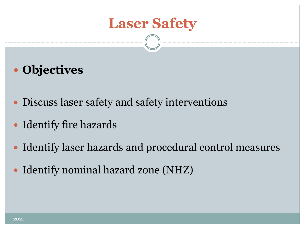### **Laser Safety**

- **Objectives**
- Discuss laser safety and safety interventions
- Identify fire hazards
- Identify laser hazards and procedural control measures
- Identify nominal hazard zone (NHZ)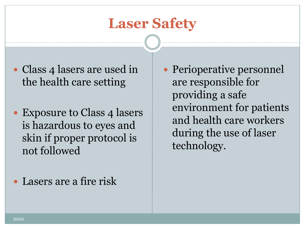#### **Laser Safety**

- Class 4 lasers are used in the health care setting
- Exposure to Class 4 lasers is hazardous to eyes and skin if proper protocol is not followed
- Lasers are a fire risk

 Perioperative personnel are responsible for providing a safe environment for patients and health care workers during the use of laser technology.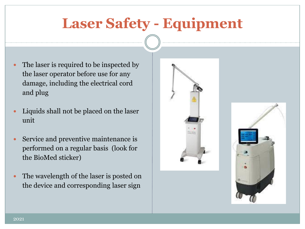# **Laser Safety - Equipment**

- The laser is required to be inspected by the laser operator before use for any damage, including the electrical cord and plug
- Liquids shall not be placed on the laser unit
- Service and preventive maintenance is performed on a regular basis (look for the BioMed sticker)
- The wavelength of the laser is posted on the device and corresponding laser sign



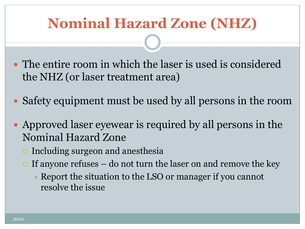# **Nominal Hazard Zone (NHZ)**

- The entire room in which the laser is used is considered the NHZ (or laser treatment area)
- Safety equipment must be used by all persons in the room
- Approved laser eyewear is required by all persons in the Nominal Hazard Zone
	- Including surgeon and anesthesia
	- $\circ$  If anyone refuses do not turn the laser on and remove the key
		- $\overline{\phantom{a}}$  Report the situation to the LSO or manager if you cannot resolve the issue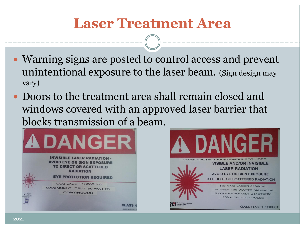#### **Laser Treatment Area**

- Warning signs are posted to control access and prevent unintentional exposure to the laser beam. (Sign design may vary)
- Doors to the treatment area shall remain closed and windows covered with an approved laser barrier that blocks transmission of a beam.



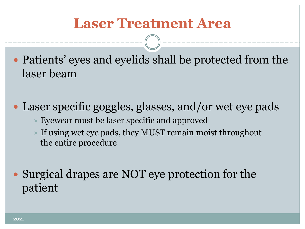#### **Laser Treatment Area**

- Patients' eyes and eyelids shall be protected from the laser beam
- Laser specific goggles, glasses, and/or wet eye pads
	- $\times$  Eyewear must be laser specific and approved
	- If using wet eye pads, they MUST remain moist throughout the entire procedure
- Surgical drapes are NOT eye protection for the patient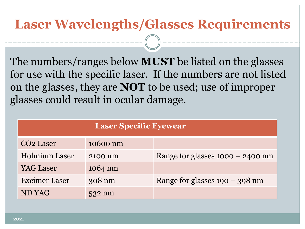#### **Laser Wavelengths/Glasses Requirements**

The numbers/ranges below **MUST** be listed on the glasses for use with the specific laser. If the numbers are not listed on the glasses, they are **NOT** to be used; use of improper glasses could result in ocular damage.

| <b>Laser Specific Eyewear</b> |          |                                    |
|-------------------------------|----------|------------------------------------|
| CO <sub>2</sub> Laser         | 10600 nm |                                    |
| <b>Holmium Laser</b>          | 2100 nm  | Range for glasses $1000 - 2400$ nm |
| YAG Laser                     | 1064 nm  |                                    |
| <b>Excimer Laser</b>          | 308 nm   | Range for glasses $190 - 398$ nm   |
| <b>ND YAG</b>                 | 532 nm   |                                    |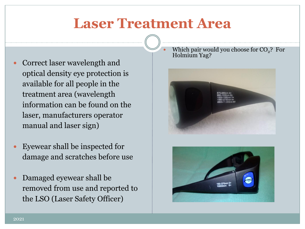#### **Laser Treatment Area**

- Correct laser wavelength and optical density eye protection is available for all people in the treatment area (wavelength information can be found on the laser, manufacturers operator manual and laser sign)
- Eyewear shall be inspected for damage and scratches before use
- Damaged eyewear shall be removed from use and reported to the LSO (Laser Safety Officer)

• Which pair would you choose for  $CO<sub>2</sub>$ ? For Holmium Yag?



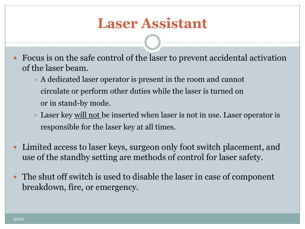#### **Laser Assistant**

 Focus is on the safe control of the laser to prevent accidental activation of the laser beam.

- $\times$  A dedicated laser operator is present in the room and cannot circulate or perform other duties while the laser is turned on or in stand-by mode.
- $\triangleright$  Laser key <u>will not</u> be inserted when laser is not in use. Laser operator is responsible for the laser key at all times.
- Limited access to laser keys, surgeon only foot switch placement, and use of the standby setting are methods of control for laser safety.
- The shut off switch is used to disable the laser in case of component breakdown, fire, or emergency.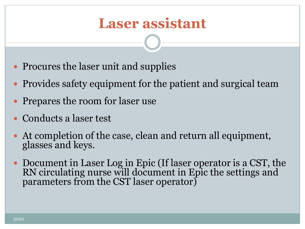#### **Laser assistant**

- Procures the laser unit and supplies
- Provides safety equipment for the patient and surgical team
- Prepares the room for laser use
- Conducts a laser test
- At completion of the case, clean and return all equipment, glasses and keys.
- Document in Laser Log in Epic (If laser operator is a CST, the RN circulating nurse will document in Epic the settings and parameters from the CST laser operator)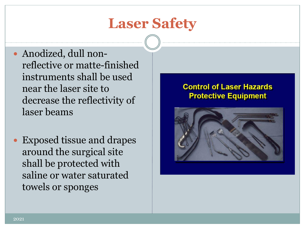### **Laser Safety**

- Anodized, dull nonreflective or matte-finished instruments shall be used near the laser site to decrease the reflectivity of laser beams
- Exposed tissue and drapes around the surgical site shall be protected with saline or water saturated towels or sponges

#### **Control of Laser Hazards Protective Equipment**

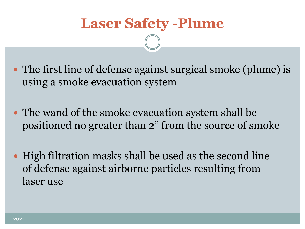- The first line of defense against surgical smoke (plume) is using a smoke evacuation system
- The wand of the smoke evacuation system shall be positioned no greater than 2" from the source of smoke
- High filtration masks shall be used as the second line of defense against airborne particles resulting from laser use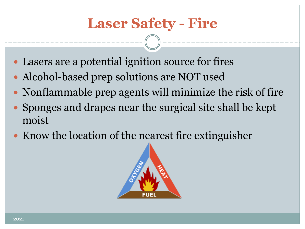# **Laser Safety - Fire**

- Lasers are a potential ignition source for fires
- Alcohol-based prep solutions are NOT used
- Nonflammable prep agents will minimize the risk of fire
- Sponges and drapes near the surgical site shall be kept moist
- Know the location of the nearest fire extinguisher

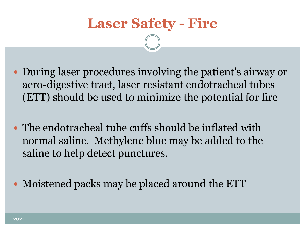## **Laser Safety - Fire**

- During laser procedures involving the patient's airway or aero-digestive tract, laser resistant endotracheal tubes (ETT) should be used to minimize the potential for fire
- The endotracheal tube cuffs should be inflated with normal saline. Methylene blue may be added to the saline to help detect punctures.
- Moistened packs may be placed around the ETT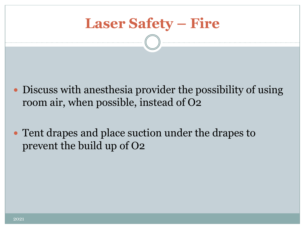

- Discuss with anesthesia provider the possibility of using room air, when possible, instead of O2
- Tent drapes and place suction under the drapes to prevent the build up of O2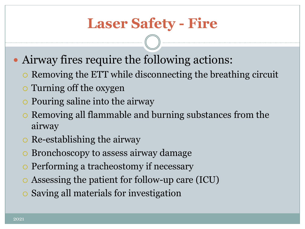# **Laser Safety - Fire**

- Airway fires require the following actions:
	- Removing the ETT while disconnecting the breathing circuit
	- Turning off the oxygen
	- Pouring saline into the airway
	- Removing all flammable and burning substances from the airway
	- $\circ$  Re-establishing the airway
	- Bronchoscopy to assess airway damage
	- Performing a tracheostomy if necessary
	- Assessing the patient for follow-up care (ICU)
	- Saving all materials for investigation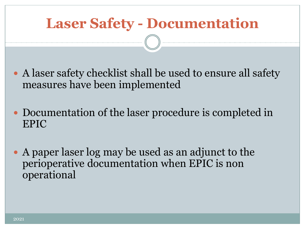# **Laser Safety - Documentation**

- A laser safety checklist shall be used to ensure all safety measures have been implemented
- Documentation of the laser procedure is completed in EPIC
- A paper laser log may be used as an adjunct to the perioperative documentation when EPIC is non operational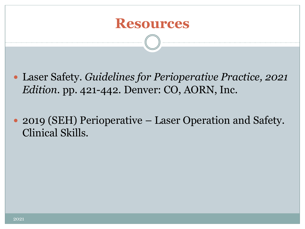

- Laser Safety. *Guidelines for Perioperative Practice, 2021 Edition.* pp. 421-442*.* Denver: CO, AORN, Inc.
- 2019 (SEH) Perioperative Laser Operation and Safety. Clinical Skills.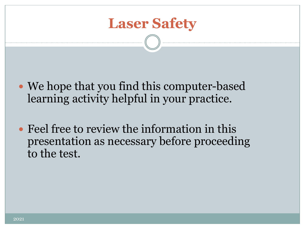

- We hope that you find this computer-based learning activity helpful in your practice.
- Feel free to review the information in this presentation as necessary before proceeding to the test.